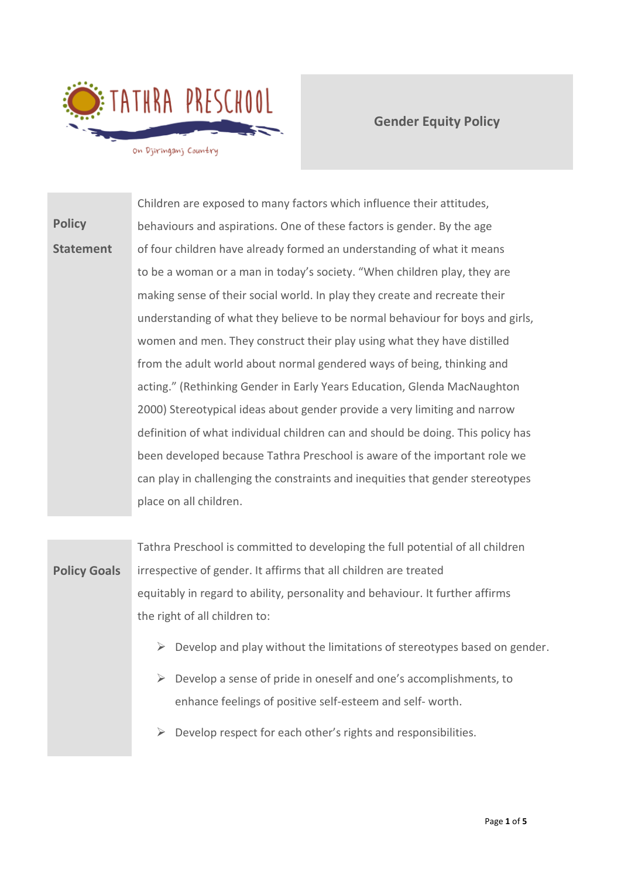

**Gender Equity Policy** 

**Policy Statement** Children are exposed to many factors which influence their attitudes, behaviours and aspirations. One of these factors is gender. By the age of four children have already formed an understanding of what it means to be a woman or a man in today's society. "When children play, they are making sense of their social world. In play they create and recreate their understanding of what they believe to be normal behaviour for boys and girls, women and men. They construct their play using what they have distilled from the adult world about normal gendered ways of being, thinking and acting." (Rethinking Gender in Early Years Education, Glenda MacNaughton 2000) Stereotypical ideas about gender provide a very limiting and narrow definition of what individual children can and should be doing. This policy has been developed because Tathra Preschool is aware of the important role we can play in challenging the constraints and inequities that gender stereotypes place on all children.

**Policy Goals** Tathra Preschool is committed to developing the full potential of all children irrespective of gender. It affirms that all children are treated equitably in regard to ability, personality and behaviour. It further affirms the right of all children to:

- $\triangleright$  Develop and play without the limitations of stereotypes based on gender.
- $\triangleright$  Develop a sense of pride in oneself and one's accomplishments, to enhance feelings of positive self-esteem and self- worth.
- $\triangleright$  Develop respect for each other's rights and responsibilities.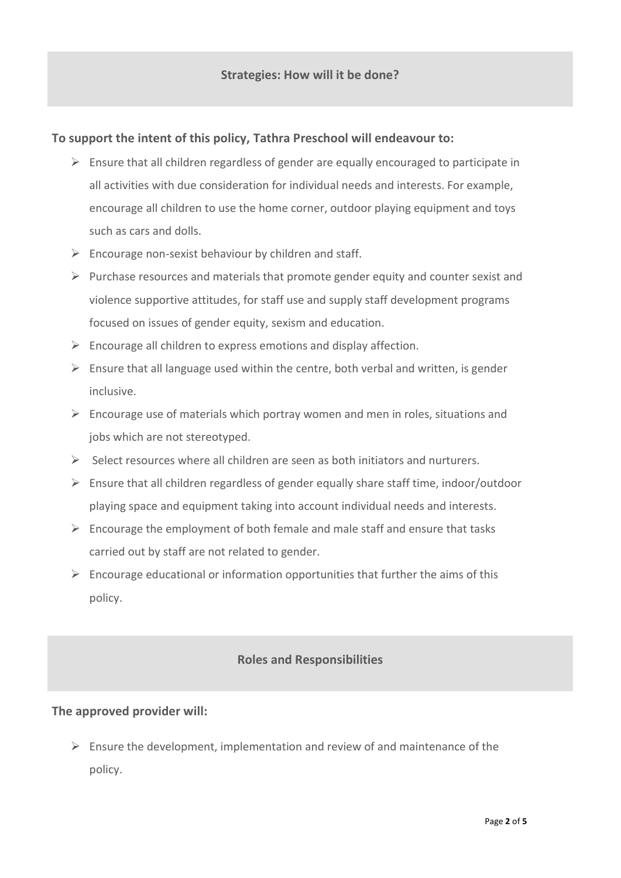### **To support the intent of this policy, Tathra Preschool will endeavour to:**

- $\triangleright$  Ensure that all children regardless of gender are equally encouraged to participate in all activities with due consideration for individual needs and interests. For example, encourage all children to use the home corner, outdoor playing equipment and toys such as cars and dolls.
- $\triangleright$  Encourage non-sexist behaviour by children and staff.
- $\triangleright$  Purchase resources and materials that promote gender equity and counter sexist and violence supportive attitudes, for staff use and supply staff development programs focused on issues of gender equity, sexism and education.
- $\triangleright$  Encourage all children to express emotions and display affection.
- $\triangleright$  Ensure that all language used within the centre, both verbal and written, is gender inclusive.
- $\triangleright$  Encourage use of materials which portray women and men in roles, situations and jobs which are not stereotyped.
- $\triangleright$  Select resources where all children are seen as both initiators and nurturers.
- $\triangleright$  Ensure that all children regardless of gender equally share staff time, indoor/outdoor playing space and equipment taking into account individual needs and interests.
- $\triangleright$  Encourage the employment of both female and male staff and ensure that tasks carried out by staff are not related to gender.
- $\triangleright$  Encourage educational or information opportunities that further the aims of this policy.

#### **Roles and Responsibilities**

#### **The approved provider will:**

 $\triangleright$  Ensure the development, implementation and review of and maintenance of the policy.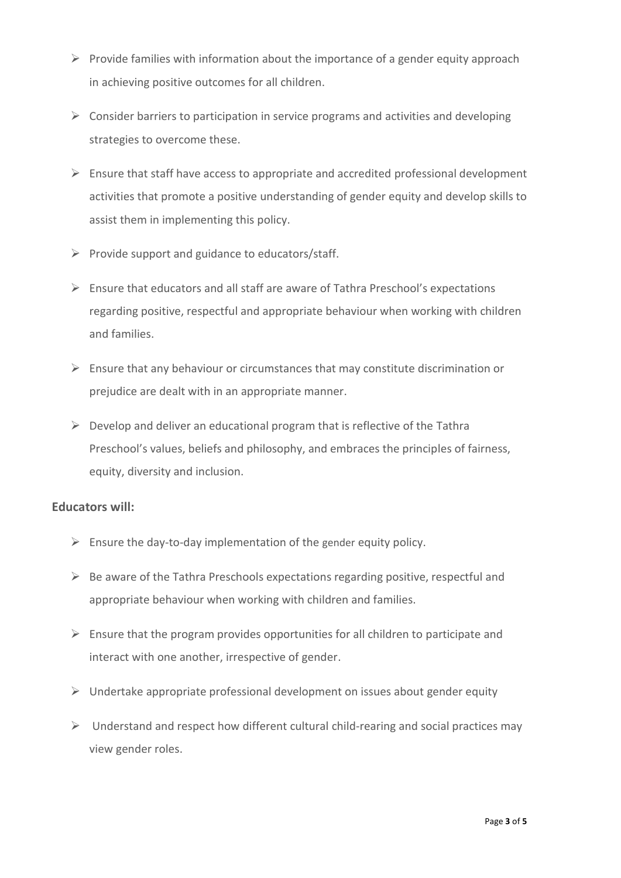- $\triangleright$  Provide families with information about the importance of a gender equity approach in achieving positive outcomes for all children.
- $\triangleright$  Consider barriers to participation in service programs and activities and developing strategies to overcome these.
- $\triangleright$  Ensure that staff have access to appropriate and accredited professional development activities that promote a positive understanding of gender equity and develop skills to assist them in implementing this policy.
- $\triangleright$  Provide support and guidance to educators/staff.
- ➢ Ensure that educators and all staff are aware of Tathra Preschool's expectations regarding positive, respectful and appropriate behaviour when working with children and families.
- $\triangleright$  Ensure that any behaviour or circumstances that may constitute discrimination or prejudice are dealt with in an appropriate manner.
- $\triangleright$  Develop and deliver an educational program that is reflective of the Tathra Preschool's values, beliefs and philosophy, and embraces the principles of fairness, equity, diversity and inclusion.

## **Educators will:**

- $\triangleright$  Ensure the day-to-day implementation of the gender equity policy.
- $\triangleright$  Be aware of the Tathra Preschools expectations regarding positive, respectful and appropriate behaviour when working with children and families.
- $\triangleright$  Ensure that the program provides opportunities for all children to participate and interact with one another, irrespective of gender.
- $\triangleright$  Undertake appropriate professional development on issues about gender equity
- $\triangleright$  Understand and respect how different cultural child-rearing and social practices may view gender roles.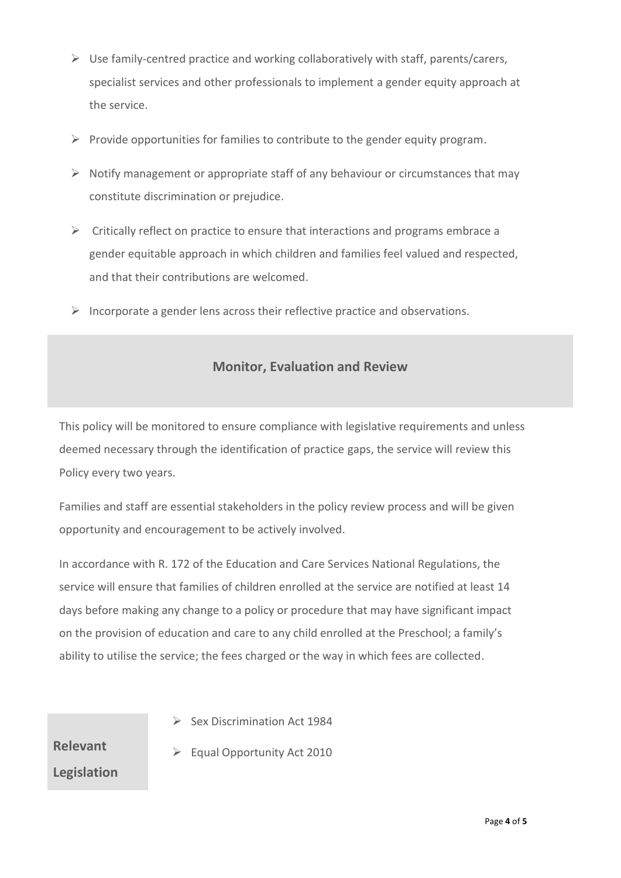- $\triangleright$  Use family-centred practice and working collaboratively with staff, parents/carers, specialist services and other professionals to implement a gender equity approach at the service.
- $\triangleright$  Provide opportunities for families to contribute to the gender equity program.
- $\triangleright$  Notify management or appropriate staff of any behaviour or circumstances that may constitute discrimination or prejudice.
- $\triangleright$  Critically reflect on practice to ensure that interactions and programs embrace a gender equitable approach in which children and families feel valued and respected, and that their contributions are welcomed.
- $\triangleright$  Incorporate a gender lens across their reflective practice and observations.

# **Monitor, Evaluation and Review**

This policy will be monitored to ensure compliance with legislative requirements and unless deemed necessary through the identification of practice gaps, the service will review this Policy every two years.

Families and staff are essential stakeholders in the policy review process and will be given opportunity and encouragement to be actively involved.

In accordance with R. 172 of the Education and Care Services National Regulations, the service will ensure that families of children enrolled at the service are notified at least 14 days before making any change to a policy or procedure that may have significant impact on the provision of education and care to any child enrolled at the Preschool; a family's ability to utilise the service; the fees charged or the way in which fees are collected.

**Relevant Legislation**

- ➢ Sex Discrimination Act 1984
- ➢ Equal Opportunity Act 2010